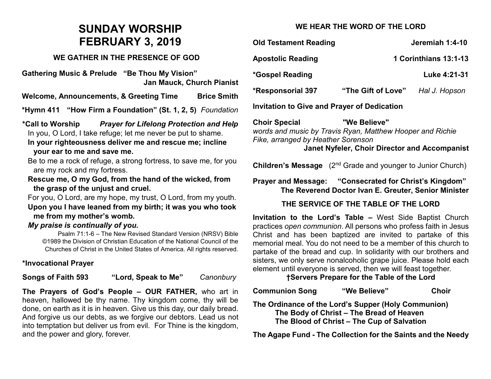# **SUNDAY WORSHIP FEBRUARY 3, 2019**

### **WE GATHER IN THE PRESENCE OF GOD**

**Gathering Music & Prelude "Be Thou My Vision" Jan Mauck, Church Pianist**

**Welcome, Announcements, & Greeting Time Brice Smith**

**\*Hymn 411 "How Firm a Foundation" (St. 1, 2, 5)** *Foundation*

**\*Call to Worship** *Prayer for Lifelong Protection and Help* In you, O Lord, I take refuge; let me never be put to shame.

**In your righteousness deliver me and rescue me; incline your ear to me and save me.**

Be to me a rock of refuge, a strong fortress, to save me, for you are my rock and my fortress.

**Rescue me, O my God, from the hand of the wicked, from the grasp of the unjust and cruel.**

For you, O Lord, are my hope, my trust, O Lord, from my youth. **Upon you I have leaned from my birth; it was you who took me from my mother's womb.**

#### *My praise is continually of you.*

Psalm 71:1-6 – The New Revised Standard Version (NRSV) Bible ©1989 the Division of Christian Education of the National Council of the Churches of Christ in the United States of America. All rights reserved.

## **\*Invocational Prayer**

**Songs of Faith 593 "Lord, Speak to Me"** *Canonbury*

**The Prayers of God's People – OUR FATHER,** who art in heaven, hallowed be thy name. Thy kingdom come, thy will be done, on earth as it is in heaven. Give us this day, our daily bread. And forgive us our debts, as we forgive our debtors. Lead us not into temptation but deliver us from evil. For Thine is the kingdom, and the power and glory, forever.

## **WE HEAR THE WORD OF THE LORD**

| <b>Old Testament Reading</b>                       |                       | Jeremiah 1:4-10 |  |
|----------------------------------------------------|-----------------------|-----------------|--|
| <b>Apostolic Reading</b>                           | 1 Corinthians 13:1-13 |                 |  |
| <i>*</i> Gospel Reading                            |                       | Luke 4:21-31    |  |
| <b>*Responsorial 397</b>                           | "The Gift of Love"    | Hal J. Hopson   |  |
| <b>Invitation to Give and Prayer of Dedication</b> |                       |                 |  |

**Choir Special "We Believe"**  *words and music by Travis Ryan, Matthew Hooper and Richie Fike, arranged by Heather Sorenson*

**Janet Nyfeler, Choir Director and Accompanist**

**Children's Message** (2<sup>nd</sup> Grade and younger to Junior Church)

**Prayer and Message: "Consecrated for Christ's Kingdom" The Reverend Doctor Ivan E. Greuter, Senior Minister**

## **THE SERVICE OF THE TABLE OF THE LORD**

**Invitation to the Lord's Table –** West Side Baptist Church practices *open communion*. All persons who profess faith in Jesus Christ and has been baptized are invited to partake of this memorial meal. You do not need to be a member of this church to partake of the bread and cup. In solidarity with our brothers and sisters, we only serve nonalcoholic grape juice. Please hold each element until everyone is served, then we will feast together.

**†Servers Prepare for the Table of the Lord**

| <b>Communion Song</b> | "We Believe" | <b>Choir</b> |
|-----------------------|--------------|--------------|
|-----------------------|--------------|--------------|

**The Ordinance of the Lord's Supper (Holy Communion) The Body of Christ – The Bread of Heaven The Blood of Christ – The Cup of Salvation**

**The Agape Fund - The Collection for the Saints and the Needy**